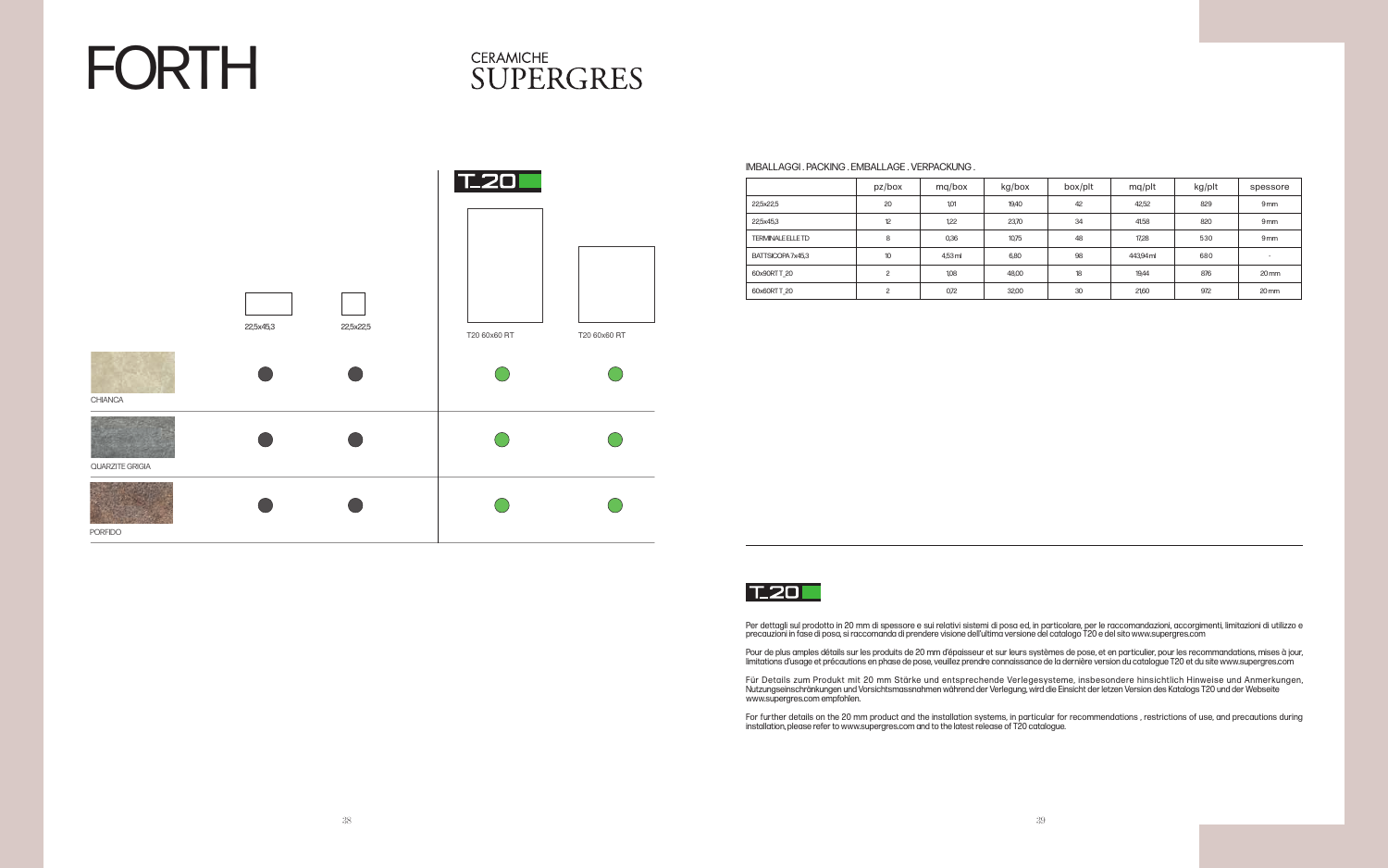# FORTH

## **CERAMICHE SUPERGRES**



#### IMBALLAGGI . PACKING . EMBALLAGE . VERPACKUNG .

|                          | pz/box          | mg/box  | kg/box | box/plt | mq/plt    | kg/plt | spessore                 |
|--------------------------|-----------------|---------|--------|---------|-----------|--------|--------------------------|
| 22,5x22,5                | 20              | 1,01    | 19,40  | 42      | 42,52     | 829    | 9 <sub>mm</sub>          |
| 22,5x45,3                | 12              | 1,22    | 23,70  | 34      | 41.58     | 820    | 9 <sub>mm</sub>          |
| <b>TERMINALE ELLE TD</b> | 8               | 0,36    | 10,75  | 48      | 17,28     | 530    | 9 <sub>mm</sub>          |
| BATTSICOPA 7x45,3        | 10 <sup>°</sup> | 4.53 ml | 6,80   | 98      | 443,94 ml | 680    | $\overline{\phantom{a}}$ |
| 60x90RTT 20              | $\overline{c}$  | 1,08    | 48,00  | 18      | 19,44     | 876    | $20 \,\mathrm{mm}$       |
| 60x60RTT 20              | C               | 0,72    | 32,00  | 30      | 21,60     | 972    | $20 \,\mathrm{mm}$       |



Per dettagli sul prodotto in 20 mm di spessore e sui relativi sistemi di posa ed, in particolare, per le raccomandazioni, accorgimenti, limitazioni di utilizzo e precauzioni in fase di posa, si raccomanda di prendere visione dell'ultima versione del catalogo T20 e del sito www.supergres.com

Für Details zum Produkt mit 20 mm Stärke und entsprechende Verlegesysteme, insbesondere hinsichtlich Hinweise und Anmerkungen, Nutzungseinschränkungen und Vorsichtsmassnahmen während der Verlegung, wird die Einsicht der letzen Version des Katalogs T20 und der Webseite www.supergres.com empfohlen.

Pour de plus amples détails sur les produits de 20 mm d'épaisseur et sur leurs systèmes de pose, et en particulier, pour les recommandations, mises à jour, limitations d'usage et précautions en phase de pose, veuillez prendre connaissance de la dernière version du catalogue T20 et du site www.supergres.com

For further details on the 20 mm product and the installation systems, in particular for recommendations , restrictions of use, and precautions during installation, please refer to www.supergres.com and to the latest release of T20 catalogue.